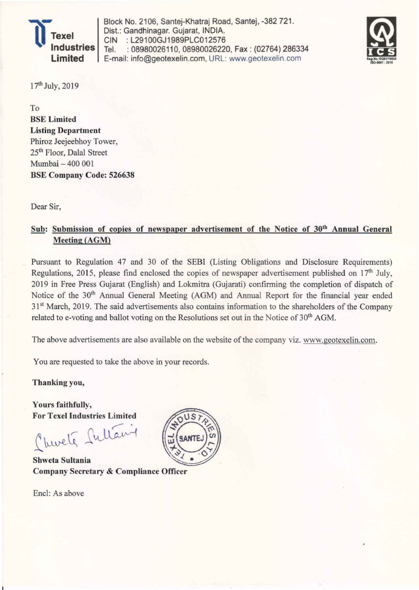

Block No. 2106, Santej-Khatraj Road, Santej, -382 721. Dist.: Gandhinagar. Gujarat, INDIA. CIN :L29100GJ1989PLC012576 Tel. : 08980026110, 08980026220, Fax : (02764) 286334 E-mail: info@geotexelin.com, URL: www.geotexelin.com



17th July, 2019

To BSE Limited Listing Department Phiroz Jeejeebhoy Tower, 25th Floor, Dalal Street Mumbai - 400 001 BSE Company Code: 526638

Dear Sir,

## Sub: Submission of copies of newspaper advertisement of the Notice of 30<sup>th</sup> Annual General Meeting (AGM)

Pursuant to Regulation 47 and 30 of the SEBI (Listing Obligations and Disclosure Requirements) Regulations, 2015, please find enclosed the copies of newspaper advertisement published on  $17<sup>th</sup>$  July, 2019 in Free Press Gujarat (English) and Lokrnitra (Gujarati) confirming the completion of dispatch of Notice of the 30<sup>th</sup> Annual General Meeting (AGM) and Annual Report for the financial year ended 31<sup>st</sup> March, 2019. The said advertisements also contains information to the shareholders of the Company related to e-voting and ballot voting on the Resolutions set out in the Notice of 30<sup>th</sup> AGM.

The above advertisements are also available on the website of the company viz. www.geotexelin.com.

You are requested to take the above in your records.

Thanking you,

Yours faithfully, For Texel Industries Limited

 $\overline{\phantom{0}}$ Churche fullant

Shweta Sultania Company Secretary & Compliance Officer

Encl: As above

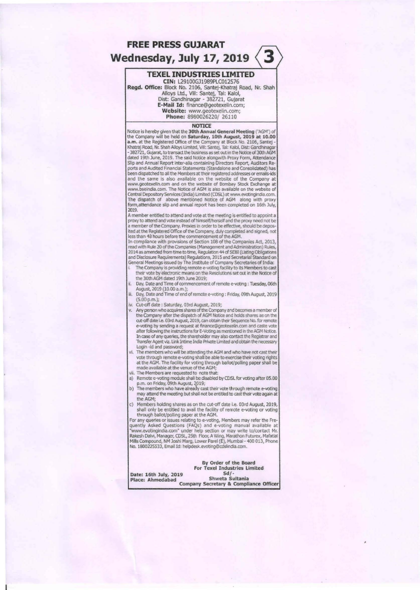# FREE PRESS GUJARAT Wednesday, July 17, 2019  $\langle 3$

## **TEXEL INDUSTRIES LIMITED**

eIN: L29100Gll989PLCOl2576 Regd. Office: Block No. 2106, Santej-Khatraj Road, Nr. Shah Alloys Ltd., ViII: Santej, Tal: Kalol, Oist: Gandhinagar - 382721, Gujarat E~Mail ld: finance@geotexelin.com; Website: www.geotexelin.com;

Phone: 8980026220/ 26110

#### **NOTICE**

Notice is hereby given that the 30th Annual General Meeting ('AGM') the Company will be held on Saturday, 10th August, 2019 at 10.00 **a.m.** at the Registered Office of the Company at Block No. 2106, Santej -<br>Khatraj Road, Nr. Shah Alloys Limited, Vill: Santej, Tal: Kalol, Dist: Gandhinagar<br>- 382721, Gujarat, to transact the business as set out in the No dated 19th June, 2019. The said Notice alongwith Proxy Form, Attendance Slip and Annual Report inter-alia containing Directors Report, Auditors Re-<br>ports and Audited Financial Statements (Standalone and Consolidated) has been dispatched to all the Members at their registered addresses or emajls-ids and the same is also available on the webslte of the Company at www.geotexelln.com and on the website of Bombay Stock Exchange at www.bseindia.com. The Notice of AGM Is also available on the website of Central Depository Services (India) Limited (CDSL) at www.evotingindia.com.<br>The dispatch of above mentioned Notice of AGM along with proxy form,attendance slip and annual report has been completed on 16th July, 2019.

A member entitled to attend and vote at the meeting is entitled to appoint a<br>proxy to attend and vote instead of himself/herself and the proxy need not be a member of the Company. Proxies in order to be effective, should be depos-<br>ited at the Registered Office of the Company, duly completed and signed, not<br>less than 48 hours before the commencement of the AGM.

In compliance with provisions of Section 108 of the Companies Act, 2013,<br>read with Rule 20 of the Companies (Management and Administration) Rules,<br>2014 as amended from time to time, Regulation 44 of SEBI (Listing Obligatio and Disclosure ReqUirements) Regulations, 2015 and Secretarial Standard on General Meetings issued by The Institute of Company Secretaries of India:

- The Company is providing remote e-voting facility to its Members to cast their vote by electronic means on the Resolutions set out in the Notice of
- me 30th AGM dated 19th June 2019; i. Day, Date and Time of commencement of remote e-voting : Tuesday, 06th August, 2019 (10.00 a.m.);
- iii. Day, Date and Time of end of remote e-voting : Friday, 09th August, 2019 (5.00 p.m.); iv. Cut-off date: Saturday, 03rd AUgust, 2019;
- 
- v. Any person who acquires shares of the Company and becomes a member of<br>the Company after the dispatch of AGM Notice and holds shares as on the<br>cut-off date i.e. 03rd August, 2019, can obtain their Sequence No. for remote e-voting by sending a request at finance@geotexelin.com and caste vote<br>after following the instructions for E-Voting as mentioned in the AGM Notice.<br>In case of any queries, the shareholder may also contact the Registrar an Transfer Agent viz. Link Intime India Private Limited and obtain the necessary
- Login -id and password;<br>vi. The members who will be attending the AGM and who have not cast their vote through remote e-voting shall be able to exercise their voting rights at the AGM. The facility for voting through ballot/polling paper shall be made available at the venue of the AGM;
- The Members are requested to note that:
- a) Remote e-voting module shall be disabled by CDSL for voting after 05,00<br>p.m. on Friday, 09th August, 2019;<br>b) The members who have already cast their vote through remote e-voting
- may attend the meeting but shall not be entitled to cast their vote again at the AGM;
- c) Members holding shares as on the cut-off date i.e. 03rd August, 2019,

shall only be entitled to avail the facility of remote e-voting or voting<br>through ballot/polling paper at the AGM,<br>For any queries or issues relating to e-voting. Members may refer the Fre-<br>quently Asked Questions (FAQs) a Rakesh Dalvi, Manager, CDSL, 25th Floor, A Wing, Marathon Futurex, Mafatlal Mills Compound, NM Joshi Marg, Lower Pare! (E), Mumbal - 400 013, Phone No. 1800225533, Email Id: helpdesk.evoting@cdslindia.com.

#### By Order of the Board For Texel Industries Limited<br>Sd/-Date: 16th July, 2019<br>Place: Ahmedabad Shweta Sultania Place: Ahmedabad Company Secretary & Compliance Officer